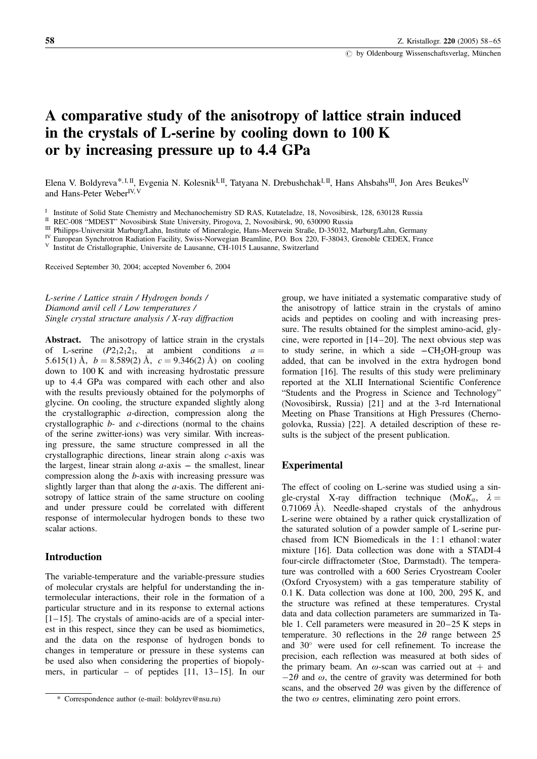# A comparative study of the anisotropy of lattice strain induced in the crystals of L-serine by cooling down to 100 K or by increasing pressure up to 4.4 GPa

Elena V. Boldyreva<sup>\*, I, II</sup>, Evgenia N. Kolesnik<sup>I, II</sup>, Tatyana N. Drebushchak<sup>I, II</sup>, Hans Ahsbahs<sup>III</sup>, Jon Ares Beukes<sup>IV</sup> and Hans-Peter Weber<sup>IV, V</sup>

I Institute of Solid State Chemistry and Mechanochemistry SD RAS, Kutateladze, 18, Novosibirsk, 128, 630128 Russia<br>
II REC-008 "MDEST" Novosibirsk State University, Pirogova, 2, Novosibirsk, 90, 630090 Russia<br>
III Philipp

Received September 30, 2004; accepted November 6, 2004

L-serine / Lattice strain / Hydrogen bonds / Diamond anvil cell / Low temperatures / Single crystal structure analysis / X-ray diffraction

Abstract. The anisotropy of lattice strain in the crystals of L-serine  $(P2<sub>1</sub>2<sub>1</sub>2<sub>1</sub>$ , at ambient conditions  $a =$ 5.615(1) Å,  $b = 8.589(2)$  Å,  $c = 9.346(2)$  Å) on cooling down to 100 K and with increasing hydrostatic pressure up to 4.4 GPa was compared with each other and also with the results previously obtained for the polymorphs of glycine. On cooling, the structure expanded slightly along the crystallographic a-direction, compression along the crystallographic  $b$ - and  $c$ -directions (normal to the chains of the serine zwitter-ions) was very similar. With increasing pressure, the same structure compressed in all the crystallographic directions, linear strain along c-axis was the largest, linear strain along  $a$ -axis – the smallest, linear compression along the b-axis with increasing pressure was slightly larger than that along the  $a$ -axis. The different anisotropy of lattice strain of the same structure on cooling and under pressure could be correlated with different response of intermolecular hydrogen bonds to these two scalar actions.

## Introduction

The variable-temperature and the variable-pressure studies of molecular crystals are helpful for understanding the intermolecular interactions, their role in the formation of a particular structure and in its response to external actions  $[1-15]$ . The crystals of amino-acids are of a special interest in this respect, since they can be used as biomimetics, and the data on the response of hydrogen bonds to changes in temperature or pressure in these systems can be used also when considering the properties of biopolymers, in particular – of peptides [11, 13–15]. In our

group, we have initiated a systematic comparative study of the anisotropy of lattice strain in the crystals of amino acids and peptides on cooling and with increasing pressure. The results obtained for the simplest amino-acid, glycine, were reported in [14–20]. The next obvious step was to study serine, in which a side  $-CH<sub>2</sub>OH<sub>-</sub>group$  was added, that can be involved in the extra hydrogen bond formation [16]. The results of this study were preliminary reported at the XLII International Scientific Conference "Students and the Progress in Science and Technology" (Novosibirsk, Russia) [21] and at the 3-rd International Meeting on Phase Transitions at High Pressures (Chernogolovka, Russia) [22]. A detailed description of these results is the subject of the present publication.

#### Experimental

The effect of cooling on L-serine was studied using a single-crystal X-ray diffraction technique (Mo $K_{\alpha}$ ,  $\lambda =$  $0.71069$  Å). Needle-shaped crystals of the anhydrous L-serine were obtained by a rather quick crystallization of the saturated solution of a powder sample of L-serine purchased from ICN Biomedicals in the 1: 1 ethanol: water mixture [16]. Data collection was done with a STADI-4 four-circle diffractometer (Stoe, Darmstadt). The temperature was controlled with a 600 Series Cryostream Cooler (Oxford Cryosystem) with a gas temperature stability of 0.1 K. Data collection was done at 100, 200, 295 K, and the structure was refined at these temperatures. Crystal data and data collection parameters are summarized in Table 1. Cell parameters were measured in 20–25 K steps in temperature. 30 reflections in the  $2\theta$  range between 25 and 30° were used for cell refinement. To increase the precision, each reflection was measured at both sides of the primary beam. An  $\omega$ -scan was carried out at  $+$  and  $-2\theta$  and  $\omega$ , the centre of gravity was determined for both scans, and the observed  $2\theta$  was given by the difference of the two  $\omega$  centres, eliminating zero point errors.

<sup>\*</sup> Correspondence author (e-mail: boldyrev@nsu.ru)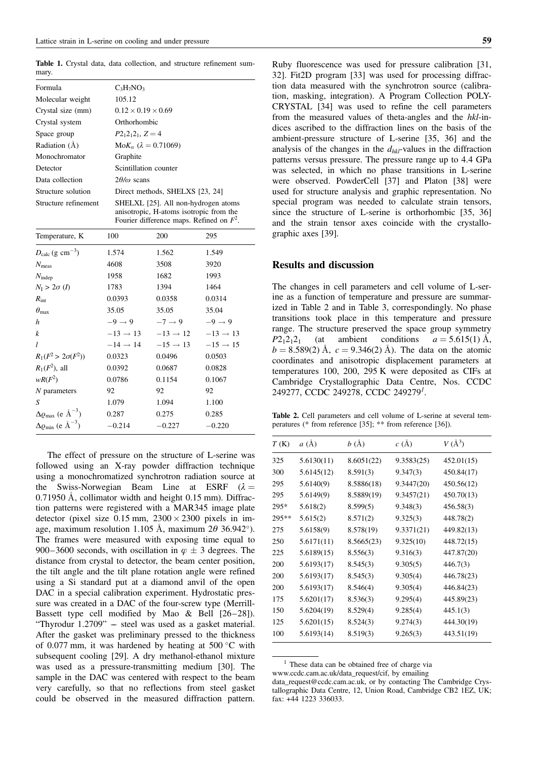Table 1. Crystal data, data collection, and structure refinement summary.

| Formula              | $C_3H_7NO_3$                                                                                                                  |  |  |  |
|----------------------|-------------------------------------------------------------------------------------------------------------------------------|--|--|--|
| Molecular weight     | 105.12                                                                                                                        |  |  |  |
| Crystal size (mm)    | $0.12 \times 0.19 \times 0.69$                                                                                                |  |  |  |
| Crystal system       | Orthorhombic                                                                                                                  |  |  |  |
| Space group          | $P2_12_12_1$ , $Z=4$                                                                                                          |  |  |  |
| Radiation $(\AA)$    | $M \circ K_a$ ( $\lambda = 0.71069$ )                                                                                         |  |  |  |
| Monochromator        | Graphite                                                                                                                      |  |  |  |
| Detector             | Scintillation counter                                                                                                         |  |  |  |
| Data collection      | $2\theta/\omega$ scans                                                                                                        |  |  |  |
| Structure solution   | Direct methods, SHELXS [23, 24]                                                                                               |  |  |  |
| Structure refinement | SHELXL [25]. All non-hydrogen atoms<br>anisotropic, H-atoms isotropic from the<br>Fourier difference maps. Refined on $F^2$ . |  |  |  |
| Temperature, K       | 295<br>100<br>200                                                                                                             |  |  |  |

| $D_{\text{calc}}$ (g cm <sup>-3</sup> )              | 1.574                | 1.562                | 1.549                |
|------------------------------------------------------|----------------------|----------------------|----------------------|
| $N_{\text{meas}}$                                    | 4608                 | 3508                 | 3920                 |
| $N_{\text{indep}}$                                   | 1958                 | 1682                 | 1993                 |
| $N_I > 2\sigma(I)$                                   | 1783                 | 1394                 | 1464                 |
| $R_{\rm int}$                                        | 0.0393               | 0.0358               | 0.0314               |
| $\theta_{\rm max}$                                   | 35.05                | 35.05                | 35.04                |
| h                                                    | $-9 \rightarrow 9$   | $-7 \rightarrow 9$   | $-9 \rightarrow 9$   |
| k                                                    | $-13 \rightarrow 13$ | $-13 \rightarrow 12$ | $-13 \rightarrow 13$ |
| l                                                    | $-14 \rightarrow 14$ | $-15 \rightarrow 13$ | $-15 \rightarrow 15$ |
| $R_1(F^2 > 2\sigma(F^2))$                            | 0.0323               | 0.0496               | 0.0503               |
| $R_1(F^2)$ , all                                     | 0.0392               | 0.0687               | 0.0828               |
| $wR(F^2)$                                            | 0.0786               | 0.1154               | 0.1067               |
| $N$ parameters                                       | 92                   | 92                   | 92                   |
| S                                                    | 1.079                | 1.094                | 1.100                |
| $\Delta \varrho_{\text{max}}$ (e $\text{\AA}^{-3}$ ) | 0.287                | 0.275                | 0.285                |
| $\Delta \varrho_{\rm min}$ (e $\AA^{-3}$ )           | $-0.214$             | $-0.227$             | $-0.220$             |
|                                                      |                      |                      |                      |

The effect of pressure on the structure of L-serine was followed using an X-ray powder diffraction technique using a monochromatized synchrotron radiation source at the Swiss-Norwegian Beam Line at ESRF  $(\lambda =$  $0.71950$  Å, collimator width and height  $0.15$  mm). Diffraction patterns were registered with a MAR345 image plate detector (pixel size  $0.15$  mm,  $2300 \times 2300$  pixels in image, maximum resolution 1.105 Å, maximum  $2\theta$  36.942°). The frames were measured with exposing time equal to 900–3600 seconds, with oscillation in  $\varphi \pm 3$  degrees. The distance from crystal to detector, the beam center position, the tilt angle and the tilt plane rotation angle were refined using a Si standard put at a diamond anvil of the open DAC in a special calibration experiment. Hydrostatic pressure was created in a DAC of the four-screw type (Merrill-Bassett type cell modified by Mao & Bell [26–28]). "Thyrodur 1.2709" –– steel was used as a gasket material. After the gasket was preliminary pressed to the thickness of 0.077 mm, it was hardened by heating at  $500^{\circ}$ C with subsequent cooling [29]. A dry methanol-ethanol mixture was used as a pressure-transmitting medium [30]. The sample in the DAC was centered with respect to the beam very carefully, so that no reflections from steel gasket could be observed in the measured diffraction pattern.

Ruby fluorescence was used for pressure calibration [31, 32]. Fit2D program [33] was used for processing diffraction data measured with the synchrotron source (calibration, masking, integration). A Program Collection POLY-CRYSTAL [34] was used to refine the cell parameters from the measured values of theta-angles and the hkl-indices ascribed to the diffraction lines on the basis of the ambient-pressure structure of L-serine [35, 36] and the analysis of the changes in the  $d_{hkl}$ -values in the diffraction patterns versus pressure. The pressure range up to 4.4 GPa was selected, in which no phase transitions in L-serine were observed. PowderCell [37] and Platon [38] were used for structure analysis and graphic representation. No special program was needed to calculate strain tensors, since the structure of L-serine is orthorhombic [35, 36] and the strain tensor axes coincide with the crystallographic axes [39].

### Results and discussion

The changes in cell parameters and cell volume of L-serine as a function of temperature and pressure are summarized in Table 2 and in Table 3, correspondingly. No phase transitions took place in this temperature and pressure range. The structure preserved the space group symmetry  $P2_12_12_1$  (at ambient conditions  $a = 5.615(1)$  Å,  $b = 8.589(2)$  Å,  $c = 9.346(2)$  Å). The data on the atomic coordinates and anisotropic displacement parameters at temperatures 100, 200, 295 K were deposited as CIFs at Cambridge Crystallographic Data Centre, Nos. CCDC 249277, CCDC 249278, CCDC 249279<sup>1</sup>.

Table 2. Cell parameters and cell volume of L-serine at several temperatures (\* from reference [35]; \*\* from reference [36]).

| T(K)   | a(A)       | b(A)       | $c(\AA)$   | $V(\AA^3)$ |
|--------|------------|------------|------------|------------|
| 325    | 5.6130(11) | 8.6051(22) | 9.3583(25) | 452.01(15) |
| 300    | 5.6145(12) | 8.591(3)   | 9.347(3)   | 450.84(17) |
| 295    | 5.6140(9)  | 8.5886(18) | 9.3447(20) | 450.56(12) |
| 295    | 5.6149(9)  | 8.5889(19) | 9.3457(21) | 450.70(13) |
| $295*$ | 5.618(2)   | 8.599(5)   | 9.348(3)   | 456.58(3)  |
| 295**  | 5.615(2)   | 8.571(2)   | 9.325(3)   | 448.78(2)  |
| 275    | 5.6158(9)  | 8.578(19)  | 9.3371(21) | 449.82(13) |
| 250    | 5.6171(11) | 8.5665(23) | 9.325(10)  | 448.72(15) |
| 225    | 5.6189(15) | 8.556(3)   | 9.316(3)   | 447.87(20) |
| 200    | 5.6193(17) | 8.545(3)   | 9.305(5)   | 446.7(3)   |
| 200    | 5.6193(17) | 8.545(3)   | 9.305(4)   | 446.78(23) |
| 200    | 5.6193(17) | 8.546(4)   | 9.305(4)   | 446.84(23) |
| 175    | 5.6201(17) | 8.536(3)   | 9.295(4)   | 445.89(23) |
| 150    | 5.6204(19) | 8.529(4)   | 9.285(4)   | 445.1(3)   |
| 125    | 5.6201(15) | 8.524(3)   | 9.274(3)   | 444.30(19) |
| 100    | 5.6193(14) | 8.519(3)   | 9.265(3)   | 443.51(19) |

<sup>&</sup>lt;sup>1</sup> These data can be obtained free of charge via

www.ccdc.cam.ac.uk/data\_request/cif, by emailing

data\_request@ccdc.cam.ac.uk, or by contacting The Cambridge Crystallographic Data Centre, 12, Union Road, Cambridge CB2 1EZ, UK; fax: +44 1223 336033.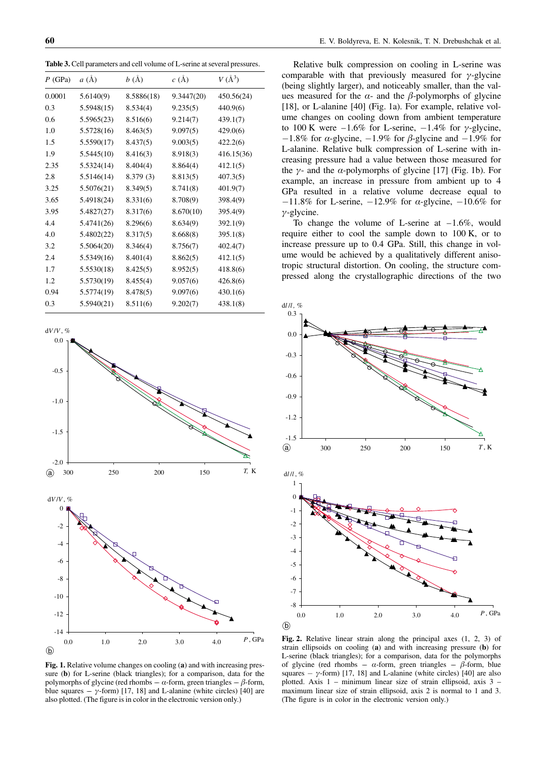Table 3. Cell parameters and cell volume of L-serine at several pressures.

| $P$ (GPa) | $a(\AA)$   | b(A)       | $c(\AA)$   | $V(\AA^3)$ |
|-----------|------------|------------|------------|------------|
| 0.0001    | 5.6140(9)  | 8.5886(18) | 9.3447(20) | 450.56(24) |
| 0.3       | 5.5948(15) | 8.534(4)   | 9.235(5)   | 440.9(6)   |
| 0.6       | 5.5965(23) | 8.516(6)   | 9.214(7)   | 439.1(7)   |
| 1.0       | 5.5728(16) | 8.463(5)   | 9.097(5)   | 429.0(6)   |
| 1.5       | 5.5590(17) | 8.437(5)   | 9.003(5)   | 422.2(6)   |
| 1.9       | 5.5445(10) | 8.416(3)   | 8.918(3)   | 416.15(36) |
| 2.35      | 5.5324(14) | 8.404(4)   | 8.864(4)   | 412.1(5)   |
| 2.8       | 5.5146(14) | 8.379 (3)  | 8.813(5)   | 407.3(5)   |
| 3.25      | 5.5076(21) | 8.349(5)   | 8.741(8)   | 401.9(7)   |
| 3.65      | 5.4918(24) | 8.331(6)   | 8.708(9)   | 398.4(9)   |
| 3.95      | 5.4827(27) | 8.317(6)   | 8.670(10)  | 395.4(9)   |
| 4.4       | 5.4741(26) | 8.296(6)   | 8.634(9)   | 392.1(9)   |
| 4.0       | 5.4802(22) | 8.317(5)   | 8.668(8)   | 395.1(8)   |
| 3.2       | 5.5064(20) | 8.346(4)   | 8.756(7)   | 402.4(7)   |
| 2.4       | 5.5349(16) | 8.401(4)   | 8.862(5)   | 412.1(5)   |
| 1.7       | 5.5530(18) | 8.425(5)   | 8.952(5)   | 418.8(6)   |
| 1.2       | 5.5730(19) | 8.455(4)   | 9.057(6)   | 426.8(6)   |
| 0.94      | 5.5774(19) | 8.478(5)   | 9.097(6)   | 430.1(6)   |
| 0.3       | 5.5940(21) | 8.511(6)   | 9.202(7)   | 438.1(8)   |



Relative bulk compression on cooling in L-serine was comparable with that previously measured for  $\gamma$ -glycine (being slightly larger), and noticeably smaller, than the values measured for the  $\alpha$ - and the  $\beta$ -polymorphs of glycine [18], or L-alanine [40] (Fig. 1a). For example, relative volume changes on cooling down from ambient temperature to 100 K were  $-1.6\%$  for L-serine,  $-1.4\%$  for  $\gamma$ -glycine,  $-1.8\%$  for  $\alpha$ -glycine,  $-1.9\%$  for  $\beta$ -glycine and  $-1.9\%$  for L-alanine. Relative bulk compression of L-serine with increasing pressure had a value between those measured for the  $\gamma$ - and the  $\alpha$ -polymorphs of glycine [17] (Fig. 1b). For example, an increase in pressure from ambient up to 4 GPa resulted in a relative volume decrease equal to  $-11.8\%$  for L-serine,  $-12.9\%$  for  $\alpha$ -glycine,  $-10.6\%$  for  $\gamma$ -glycine.

To change the volume of L-serine at  $-1.6\%$ , would require either to cool the sample down to 100 K, or to increase pressure up to 0.4 GPa. Still, this change in volume would be achieved by a qualitatively different anisotropic structural distortion. On cooling, the structure compressed along the crystallographic directions of the two



Fig. 1. Relative volume changes on cooling (a) and with increasing pressure (b) for L-serine (black triangles); for a comparison, data for the polymorphs of glycine (red rhombs –  $\alpha$ -form, green triangles –  $\beta$ -form, blue squares ––  $\gamma$ -form) [17, 18] and L-alanine (white circles) [40] are also plotted. (The figure is in color in the electronic version only.)

Fig. 2. Relative linear strain along the principal axes (1, 2, 3) of strain ellipsoids on cooling (a) and with increasing pressure (b) for L-serine (black triangles); for a comparison, data for the polymorphs of glycine (red rhombs –  $\alpha$ -form, green triangles –  $\beta$ -form, blue squares  $- \gamma$ -form) [17, 18] and L-alanine (white circles) [40] are also plotted. Axis 1 – minimum linear size of strain ellipsoid, axis 3 – maximum linear size of strain ellipsoid, axis 2 is normal to 1 and 3. (The figure is in color in the electronic version only.)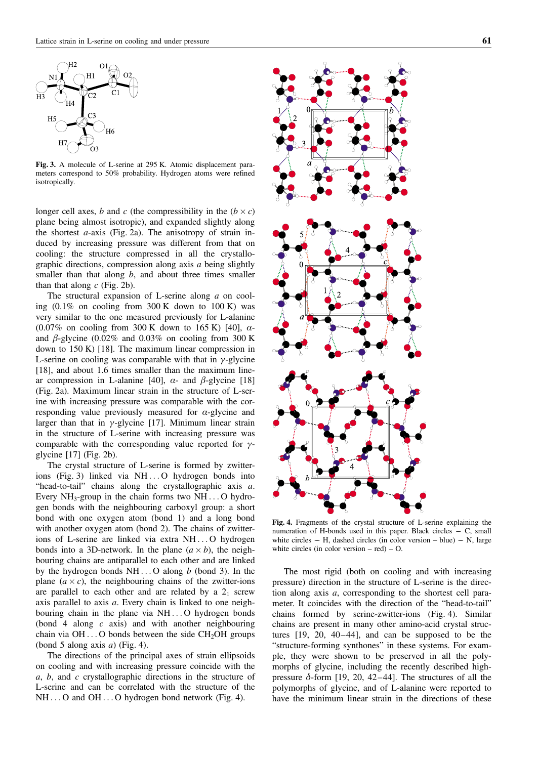

Fig. 3. A molecule of L-serine at 295 K. Atomic displacement parameters correspond to 50% probability. Hydrogen atoms were refined isotropically.

longer cell axes, b and c (the compressibility in the  $(b \times c)$ ) plane being almost isotropic), and expanded slightly along the shortest  $a$ -axis (Fig. 2a). The anisotropy of strain induced by increasing pressure was different from that on cooling: the structure compressed in all the crystallographic directions, compression along axis a being slightly smaller than that along  $b$ , and about three times smaller than that along  $c$  (Fig. 2b).

The structural expansion of L-serine along a on cooling  $(0.1\%$  on cooling from 300 K down to 100 K) was very similar to the one measured previously for L-alanine  $(0.07\%$  on cooling from 300 K down to 165 K) [40],  $\alpha$ and  $\beta$ -glycine (0.02% and 0.03% on cooling from 300 K down to 150 K) [18]. The maximum linear compression in L-serine on cooling was comparable with that in  $\gamma$ -glycine [18], and about 1.6 times smaller than the maximum linear compression in L-alanine [40],  $\alpha$ - and  $\beta$ -glycine [18] (Fig. 2a). Maximum linear strain in the structure of L-serine with increasing pressure was comparable with the corresponding value previously measured for  $\alpha$ -glycine and larger than that in  $\gamma$ -glycine [17]. Minimum linear strain in the structure of L-serine with increasing pressure was comparable with the corresponding value reported for  $\gamma$ glycine [17] (Fig. 2b).

The crystal structure of L-serine is formed by zwitterions (Fig. 3) linked via NH ... O hydrogen bonds into "head-to-tail" chains along the crystallographic axis a. Every  $NH_3$ -group in the chain forms two  $NH...$  O hydrogen bonds with the neighbouring carboxyl group: a short bond with one oxygen atom (bond 1) and a long bond with another oxygen atom (bond 2). The chains of zwitterions of L-serine are linked via extra NH ... O hydrogen bonds into a 3D-network. In the plane  $(a \times b)$ , the neighbouring chains are antiparallel to each other and are linked by the hydrogen bonds  $NH...$  O along b (bond 3). In the plane  $(a \times c)$ , the neighbouring chains of the zwitter-ions are parallel to each other and are related by a  $2<sub>1</sub>$  screw axis parallel to axis a. Every chain is linked to one neighbouring chain in the plane via NH ... O hydrogen bonds (bond 4 along c axis) and with another neighbouring chain via  $OH \dots$ O bonds between the side  $CH_2OH$  groups (bond 5 along axis  $a$ ) (Fig. 4).

The directions of the principal axes of strain ellipsoids on cooling and with increasing pressure coincide with the a, b, and c crystallographic directions in the structure of L-serine and can be correlated with the structure of the NH ... O and OH ... O hydrogen bond network (Fig. 4).



Fig. 4. Fragments of the crystal structure of L-serine explaining the numeration of H-bonds used in this paper. Black circles  $-$  C, small white circles  $-$  H, dashed circles (in color version  $-$  blue)  $-$  N, large white circles (in color version – red) – O.

The most rigid (both on cooling and with increasing pressure) direction in the structure of L-serine is the direction along axis a, corresponding to the shortest cell parameter. It coincides with the direction of the "head-to-tail" chains formed by serine-zwitter-ions (Fig. 4). Similar chains are present in many other amino-acid crystal structures [19, 20, 40–44], and can be supposed to be the "structure-forming synthones" in these systems. For example, they were shown to be preserved in all the polymorphs of glycine, including the recently described highpressure  $\delta$ -form [19, 20, 42–44]. The structures of all the polymorphs of glycine, and of L-alanine were reported to have the minimum linear strain in the directions of these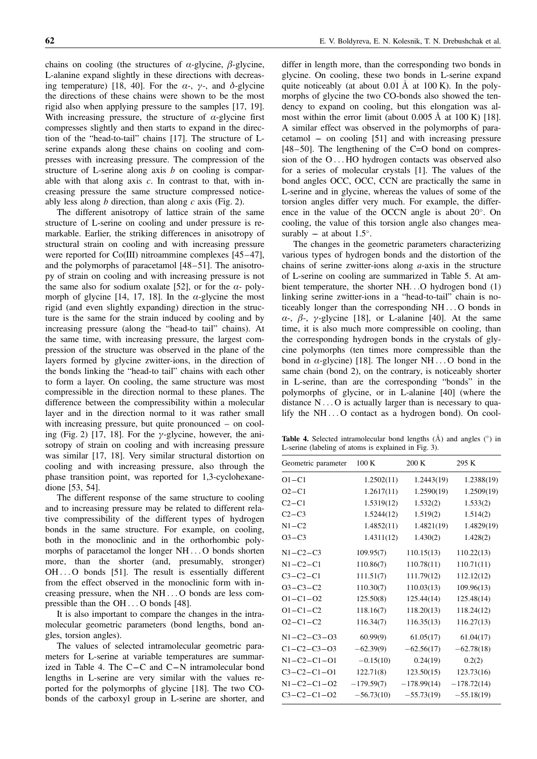chains on cooling (the structures of  $\alpha$ -glycine,  $\beta$ -glycine, L-alanine expand slightly in these directions with decreasing temperature) [18, 40]. For the  $\alpha$ -,  $\gamma$ -, and  $\delta$ -glycine the directions of these chains were shown to be the most rigid also when applying pressure to the samples [17, 19]. With increasing pressure, the structure of  $\alpha$ -glycine first compresses slightly and then starts to expand in the direction of the "head-to-tail" chains [17]. The structure of Lserine expands along these chains on cooling and compresses with increasing pressure. The compression of the structure of L-serine along axis  $b$  on cooling is comparable with that along axis  $c$ . In contrast to that, with increasing pressure the same structure compressed noticeably less along  $b$  direction, than along  $c$  axis (Fig. 2).

The different anisotropy of lattice strain of the same structure of L-serine on cooling and under pressure is remarkable. Earlier, the striking differences in anisotropy of structural strain on cooling and with increasing pressure were reported for Co(III) nitroammine complexes [45–47], and the polymorphs of paracetamol [48–51]. The anisotropy of strain on cooling and with increasing pressure is not the same also for sodium oxalate [52], or for the  $\alpha$ - polymorph of glycine [14, 17, 18]. In the  $\alpha$ -glycine the most rigid (and even slightly expanding) direction in the structure is the same for the strain induced by cooling and by increasing pressure (along the "head-to tail" chains). At the same time, with increasing pressure, the largest compression of the structure was observed in the plane of the layers formed by glycine zwitter-ions, in the direction of the bonds linking the "head-to tail" chains with each other to form a layer. On cooling, the same structure was most compressible in the direction normal to these planes. The difference between the compressibility within a molecular layer and in the direction normal to it was rather small with increasing pressure, but quite pronounced – on cooling (Fig. 2) [17, 18]. For the  $\gamma$ -glycine, however, the anisotropy of strain on cooling and with increasing pressure was similar [17, 18]. Very similar structural distortion on cooling and with increasing pressure, also through the phase transition point, was reported for 1,3-cyclohexanedione [53, 54].

The different response of the same structure to cooling and to increasing pressure may be related to different relative compressibility of the different types of hydrogen bonds in the same structure. For example, on cooling, both in the monoclinic and in the orthorhombic polymorphs of paracetamol the longer NH ... O bonds shorten more, than the shorter (and, presumably, stronger) OH ... O bonds [51]. The result is essentially different from the effect observed in the monoclinic form with increasing pressure, when the NH ... O bonds are less compressible than the OH ... O bonds [48].

It is also important to compare the changes in the intramolecular geometric parameters (bond lengths, bond angles, torsion angles).

The values of selected intramolecular geometric parameters for L-serine at variable temperatures are summarized in Table 4. The  $C-C$  and  $C-N$  intramolecular bond lengths in L-serine are very similar with the values reported for the polymorphs of glycine [18]. The two CObonds of the carboxyl group in L-serine are shorter, and

differ in length more, than the corresponding two bonds in glycine. On cooling, these two bonds in L-serine expand quite noticeably (at about  $0.01 \text{ Å}$  at  $100 \text{ K}$ ). In the polymorphs of glycine the two CO-bonds also showed the tendency to expand on cooling, but this elongation was almost within the error limit (about  $0.005 \text{ Å}$  at  $100 \text{ K}$ ) [18]. A similar effect was observed in the polymorphs of paracetamol –– on cooling [51] and with increasing pressure [48–50]. The lengthening of the C=O bond on compression of the O ... HO hydrogen contacts was observed also for a series of molecular crystals [1]. The values of the bond angles OCC, OCC, CCN are practically the same in L-serine and in glycine, whereas the values of some of the torsion angles differ very much. For example, the difference in the value of the OCCN angle is about  $20^{\circ}$ . On cooling, the value of this torsion angle also changes measurably –– at about  $1.5^\circ$ .

The changes in the geometric parameters characterizing various types of hydrogen bonds and the distortion of the chains of serine zwitter-ions along  $a$ -axis in the structure of L-serine on cooling are summarized in Table 5. At ambient temperature, the shorter NH...O hydrogen bond (1) linking serine zwitter-ions in a "head-to-tail" chain is noticeably longer than the corresponding NH ... O bonds in  $\alpha$ -,  $\beta$ -,  $\gamma$ -glycine [18], or L-alanine [40]. At the same time, it is also much more compressible on cooling, than the corresponding hydrogen bonds in the crystals of glycine polymorphs (ten times more compressible than the bond in  $\alpha$ -glycine) [18]. The longer NH... O bond in the same chain (bond 2), on the contrary, is noticeably shorter in L-serine, than are the corresponding "bonds" in the polymorphs of glycine, or in L-alanine [40] (where the distance  $N \dots O$  is actually larger than is necessary to qualify the NH ... O contact as a hydrogen bond). On cool-

**Table 4.** Selected intramolecular bond lengths  $(\hat{A})$  and angles  $(\hat{a})$  in L-serine (labeling of atoms is explained in Fig. 3).

| Geometric parameter | 100K         | 200 K         | 295 K         |
|---------------------|--------------|---------------|---------------|
| $O1 - C1$           | 1.2502(11)   | 1.2443(19)    | 1.2388(19)    |
| $O2 - C1$           | 1.2617(11)   | 1.2590(19)    | 1.2509(19)    |
| $C2 - C1$           | 1.5319(12)   | 1.532(2)      | 1.533(2)      |
| $C2-C3$             | 1.5244(12)   | 1.519(2)      | 1.514(2)      |
| $N1 - C2$           | 1.4852(11)   | 1.4821(19)    | 1.4829(19)    |
| $O3-C3$             | 1.4311(12)   | 1.430(2)      | 1.428(2)      |
| $N1 - C2 - C3$      | 109.95(7)    | 110.15(13)    | 110.22(13)    |
| $N1 - C2 - C1$      | 110.86(7)    | 110.78(11)    | 110.71(11)    |
| $C3-C2-C1$          | 111.51(7)    | 111.79(12)    | 112.12(12)    |
| $O3 - C3 - C2$      | 110.30(7)    | 110.03(13)    | 109.96(13)    |
| $O1 - C1 - O2$      | 125.50(8)    | 125.44(14)    | 125.48(14)    |
| $O1 - C1 - C2$      | 118.16(7)    | 118.20(13)    | 118.24(12)    |
| $O2 - C1 - C2$      | 116.34(7)    | 116.35(13)    | 116.27(13)    |
| $N1 - C2 - C3 - O3$ | 60.99(9)     | 61.05(17)     | 61.04(17)     |
| $C1 - C2 - C3 - O3$ | $-62.39(9)$  | $-62.56(17)$  | $-62.78(18)$  |
| $N1 - C2 - C1 - O1$ | $-0.15(10)$  | 0.24(19)      | 0.2(2)        |
| $C3 - C2 - C1 - O1$ | 122.71(8)    | 123.50(15)    | 123.73(16)    |
| $N1 - C2 - C1 - O2$ | $-179.59(7)$ | $-178.99(14)$ | $-178.72(14)$ |
| $C3 - C2 - C1 - O2$ | $-56.73(10)$ | $-55.73(19)$  | $-55.18(19)$  |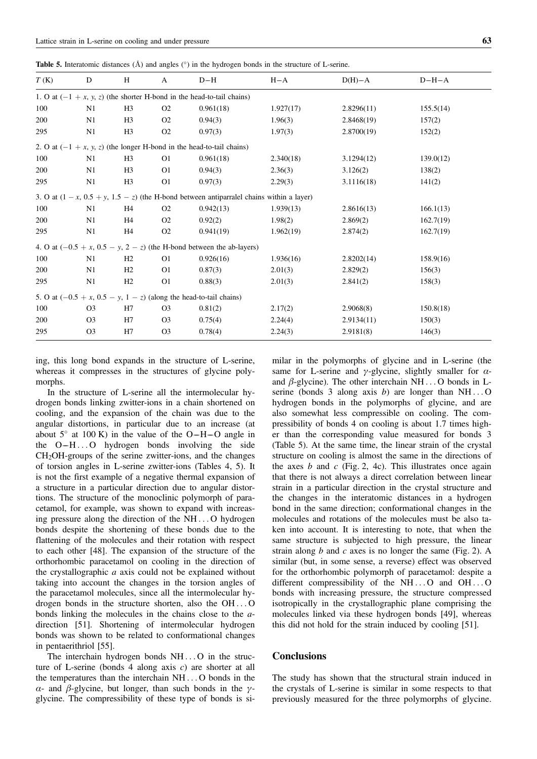Table 5. Interatomic distances  $(A)$  and angles  $(°)$  in the hydrogen bonds in the structure of L-serine.

| T(K) | D                                                                        | H              | A              | $D-H$                                                                                       | $H - A$   | $D(H)-A$   | $D-H-A$   |
|------|--------------------------------------------------------------------------|----------------|----------------|---------------------------------------------------------------------------------------------|-----------|------------|-----------|
|      | 1. O at $(-1 + x, y, z)$ (the shorter H-bond in the head-to-tail chains) |                |                |                                                                                             |           |            |           |
| 100  | N1                                                                       | H <sub>3</sub> | O <sub>2</sub> | 0.961(18)                                                                                   | 1.927(17) | 2.8296(11) | 155.5(14) |
| 200  | N1                                                                       | H3             | O <sub>2</sub> | 0.94(3)                                                                                     | 1.96(3)   | 2.8468(19) | 157(2)    |
| 295  | N1                                                                       | H <sub>3</sub> | O <sub>2</sub> | 0.97(3)                                                                                     | 1.97(3)   | 2.8700(19) | 152(2)    |
|      |                                                                          |                |                | 2. O at $(-1 + x, y, z)$ (the longer H-bond in the head-to-tail chains)                     |           |            |           |
| 100  | N1                                                                       | H <sub>3</sub> | O <sub>1</sub> | 0.961(18)                                                                                   | 2.340(18) | 3.1294(12) | 139.0(12) |
| 200  | N1                                                                       | H3             | O <sub>1</sub> | 0.94(3)                                                                                     | 2.36(3)   | 3.126(2)   | 138(2)    |
| 295  | N1                                                                       | H <sub>3</sub> | O <sub>1</sub> | 0.97(3)                                                                                     | 2.29(3)   | 3.1116(18) | 141(2)    |
|      |                                                                          |                |                | 3. O at $(1 - x, 0.5 + y, 1.5 - z)$ (the H-bond between antiparralel chains within a layer) |           |            |           |
| 100  | N1                                                                       | H4             | O <sub>2</sub> | 0.942(13)                                                                                   | 1.939(13) | 2.8616(13) | 166.1(13) |
| 200  | N1                                                                       | H4             | O <sub>2</sub> | 0.92(2)                                                                                     | 1.98(2)   | 2.869(2)   | 162.7(19) |
| 295  | N1                                                                       | H4             | O <sub>2</sub> | 0.941(19)                                                                                   | 1.962(19) | 2.874(2)   | 162.7(19) |
|      |                                                                          |                |                | 4. O at $(-0.5 + x, 0.5 - y, 2 - z)$ (the H-bond between the ab-layers)                     |           |            |           |
| 100  | N1                                                                       | H <sub>2</sub> | O <sub>1</sub> | 0.926(16)                                                                                   | 1.936(16) | 2.8202(14) | 158.9(16) |
| 200  | N1                                                                       | H <sub>2</sub> | O <sub>1</sub> | 0.87(3)                                                                                     | 2.01(3)   | 2.829(2)   | 156(3)    |
| 295  | N1                                                                       | H2             | O <sub>1</sub> | 0.88(3)                                                                                     | 2.01(3)   | 2.841(2)   | 158(3)    |
|      | 5. O at $(-0.5 + x, 0.5 - y, 1 - z)$ (along the head-to-tail chains)     |                |                |                                                                                             |           |            |           |
| 100  | O <sub>3</sub>                                                           | H7             | O <sub>3</sub> | 0.81(2)                                                                                     | 2.17(2)   | 2.9068(8)  | 150.8(18) |
| 200  | O <sub>3</sub>                                                           | H7             | O <sub>3</sub> | 0.75(4)                                                                                     | 2.24(4)   | 2.9134(11) | 150(3)    |
| 295  | O <sub>3</sub>                                                           | H7             | O <sub>3</sub> | 0.78(4)                                                                                     | 2.24(3)   | 2.9181(8)  | 146(3)    |

ing, this long bond expands in the structure of L-serine, whereas it compresses in the structures of glycine polymorphs.

In the structure of L-serine all the intermolecular hydrogen bonds linking zwitter-ions in a chain shortened on cooling, and the expansion of the chain was due to the angular distortions, in particular due to an increase (at about  $5^{\circ}$  at 100 K) in the value of the O–H–O angle in the  $O-H...O$  hydrogen bonds involving the side  $CH<sub>2</sub>OH<sub>-</sub>$  groups of the serine zwitter-ions, and the changes of torsion angles in L-serine zwitter-ions (Tables 4, 5). It is not the first example of a negative thermal expansion of a structure in a particular direction due to angular distortions. The structure of the monoclinic polymorph of paracetamol, for example, was shown to expand with increasing pressure along the direction of the NH ... O hydrogen bonds despite the shortening of these bonds due to the flattening of the molecules and their rotation with respect to each other [48]. The expansion of the structure of the orthorhombic paracetamol on cooling in the direction of the crystallographic  $a$  axis could not be explained without taking into account the changes in the torsion angles of the paracetamol molecules, since all the intermolecular hydrogen bonds in the structure shorten, also the OH ... O bonds linking the molecules in the chains close to the adirection [51]. Shortening of intermolecular hydrogen bonds was shown to be related to conformational changes in pentaerithriol [55].

The interchain hydrogen bonds NH ... O in the structure of L-serine (bonds 4 along axis  $c$ ) are shorter at all the temperatures than the interchain NH ... O bonds in the  $\alpha$ - and  $\beta$ -glycine, but longer, than such bonds in the  $\gamma$ glycine. The compressibility of these type of bonds is similar in the polymorphs of glycine and in L-serine (the same for L-serine and  $\gamma$ -glycine, slightly smaller for  $\alpha$ and  $\beta$ -glycine). The other interchain NH ... O bonds in Lserine (bonds 3 along axis b) are longer than  $NH...O$ hydrogen bonds in the polymorphs of glycine, and are also somewhat less compressible on cooling. The compressibility of bonds 4 on cooling is about 1.7 times higher than the corresponding value measured for bonds 3 (Table 5). At the same time, the linear strain of the crystal structure on cooling is almost the same in the directions of the axes  $b$  and  $c$  (Fig. 2, 4c). This illustrates once again that there is not always a direct correlation between linear strain in a particular direction in the crystal structure and the changes in the interatomic distances in a hydrogen bond in the same direction; conformational changes in the molecules and rotations of the molecules must be also taken into account. It is interesting to note, that when the same structure is subjected to high pressure, the linear strain along  $b$  and  $c$  axes is no longer the same (Fig. 2). A similar (but, in some sense, a reverse) effect was observed for the orthorhombic polymorph of paracetamol: despite a different compressibility of the NH...O and OH...O bonds with increasing pressure, the structure compressed isotropically in the crystallographic plane comprising the molecules linked via these hydrogen bonds [49], whereas this did not hold for the strain induced by cooling [51].

### **Conclusions**

The study has shown that the structural strain induced in the crystals of L-serine is similar in some respects to that previously measured for the three polymorphs of glycine.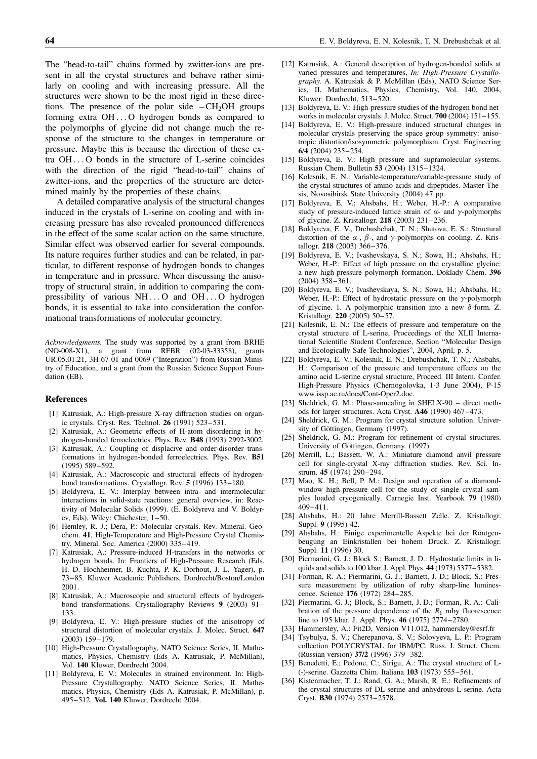The "head-to-tail" chains formed by zwitter-ions are present in all the crystal structures and behave rather similarly on cooling and with increasing pressure. All the structures were shown to be the most rigid in these directions. The presence of the polar side  $-CH<sub>2</sub>OH$  groups forming extra OH ... O hydrogen bonds as compared to the polymorphs of glycine did not change much the response of the structure to the changes in temperature or pressure. Maybe this is because the direction of these extra OH ... O bonds in the structure of L-serine coincides with the direction of the rigid "head-to-tail" chains of zwitter-ions, and the properties of the structure are determined mainly by the properties of these chains.

A detailed comparative analysis of the structural changes induced in the crystals of L-serine on cooling and with increasing pressure has also revealed pronounced differences in the effect of the same scalar action on the same structure. Similar effect was observed earlier for several compounds. Its nature requires further studies and can be related, in particular, to different response of hydrogen bonds to changes in temperature and in pressure. When discussing the anisotropy of structural strain, in addition to comparing the compressibility of various NH ... O and OH ... O hydrogen bonds, it is essential to take into consideration the conformational transformations of molecular geometry.

Acknowledgments. The study was supported by a grant from BRHE (NO-008-X1), a grant from RFBR (02-03-33358), grants UR.05.01.21, 3H-67-01 and 0069 ("Integration") from Russian Ministry of Education, and a grant from the Russian Science Support Foundation (EB).

#### References

- [1] Katrusiak, A.: High-pressure X-ray diffraction studies on organic crystals. Cryst. Res. Technol. 26 (1991) 523–531.
- [2] Katrusiak, A.: Geometric effects of H-atom disordering in hydrogen-bonded ferroelectrics. Phys. Rev. B48 (1993) 2992-3002.
- [3] Katrusiak, A.: Coupling of displacive and order-disorder transformations in hydrogen-bonded ferroelectrics. Phys. Rev. B51 (1995) 589–592.
- [4] Katrusiak, A.: Macroscopic and structural effects of hydrogenbond transformations. Crystallogr. Rev. 5 (1996) 133–180.
- [5] Boldyreva, E. V.: Interplay between intra- and intermolecular interactions in solid-state reactions: general overview, in: Reactivity of Molecular Solids (1999). (E. Boldyreva and V. Boldyrev, Eds), Wiley: Chichester, 1–50.
- [6] Hemley, R. J.; Dera, P.: Molecular crystals. Rev. Mineral. Geochem. 41, High-Temperature and High-Pressure Crystal Chemistry. Mineral. Soc. America (2000) 335–419.
- [7] Katrusiak, A.: Pressure-induced H-transfers in the networks or hydrogen bonds. In: Frontiers of High-Pressure Research (Eds. H. D. Hochheimer, B. Kuchta, P. K. Dorhout, J. L. Yager), p. 73–85. Kluwer Academic Publishers, Dordrecht/Boston/London 2001.
- [8] Katrusiak, A.: Macroscopic and structural effects of hydrogenbond transformations. Crystallography Reviews 9 (2003) 91– 133.
- [9] Boldyreva, E. V.: High-pressure studies of the anisotropy of structural distortion of molecular crystals. J. Molec. Struct. 647 (2003) 159–179.
- [10] High-Pressure Crystallography, NATO Science Series, II. Mathematics, Physics, Chemistry (Eds A. Katrusiak, P. McMillan), Vol. 140 Kluwer, Dordrecht 2004.
- [11] Boldyreva, E. V.: Molecules in strained environment. In: High-Pressure Crystallography. NATO Science Series, II. Mathematics, Physics, Chemistry (Eds A. Katrusiak, P. McMillan), p. 495–512. Vol. 140 Kluwer, Dordrecht 2004.
- [12] Katrusiak, A.: General description of hydrogen-bonded solids at varied pressures and temperatures, In: High-Pressure Crystallography. A. Katrusiak & P. McMillan (Eds), NATO Science Series, II. Mathematics, Physics, Chemistry, Vol. 140, 2004, Kluwer: Dordrecht, 513–520.
- [13] Boldyreva, E. V.: High-pressure studies of the hydrogen bond networks in molecular crystals. J. Molec. Struct. 700 (2004) 151–155.
- [14] Boldyreva, E. V.: High-pressure induced structural changes in molecular crystals preserving the space group symmetry: anisotropic distortion/isosymmetric polymorphism. Cryst. Engineering 6/4 (2004) 235–254.
- [15] Boldyreva, E. V.: High pressure and supramolecular systems. Russian Chem. Bulletin 53 (2004) 1315–1324.
- [16] Kolesnik, E. N.: Variable-temperature/variable-pressure study of the crystal structures of amino acids and dipeptides. Master Thesis, Novosibirsk State University (2004) 47 pp.
- [17] Boldyreva, E. V.; Ahsbahs, H.; Weber, H.-P.: A comparative study of pressure-induced lattice strain of  $\alpha$ - and  $\gamma$ -polymorphs of glycine. Z. Kristallogr. 218 (2003) 231–236.
- [18] Boldyreva, E. V., Drebushchak, T. N.; Shutova, E. S.: Structural distortion of the  $\alpha$ -,  $\beta$ -, and  $\gamma$ -polymorphs on cooling. Z. Kristallogr. 218 (2003) 366–376.
- [19] Boldyreva, E. V.; Ivashevskaya, S. N.; Sowa, H.; Ahsbahs, H.; Weber, H.-P.: Effect of high pressure on the crystalline glycine: a new high-pressure polymorph formation. Doklady Chem. 396 (2004) 358–361.
- [20] Boldyreva, E. V.; Ivashevskaya, S. N.; Sowa, H.; Ahsbahs, H.; Weber, H.-P.: Effect of hydrostatic pressure on the  $\gamma$ -polymorph of glycine. 1. A polymorphic transition into a new  $\delta$ -form. Z. Kristallogr. 220 (2005) 50–57.
- [21] Kolesnik, E. N.: The effects of pressure and temperature on the crystal structure of L-serine, Proceedings of the XLII International Scientific Student Conference, Section "Molecular Design and Ecologically Safe Technologies", 2004, April, p. 5.
- [22] Boldyreva, E. V.; Kolesnik, E. N.; Drebushchak, T. N.; Ahsbahs, H.: Comparison of the pressure and temperature effects on the amino acid L-serine crystal structure, Proceed. III Intern. Confer. High-Pressure Physics (Chernogolovka, 1-3 June 2004), P-15 www.issp.ac.ru/docs/Cont-Oper2.doc.
- [23] Sheldrick, G. M.: Phase-annealing in SHELX-90 direct methods for larger structures. Acta Cryst. A46 (1990) 467–473.
- [24] Sheldrick, G. M.: Program for crystal structure solution. University of Göttingen, Germany (1997).
- [25] Sheldrick, G. M.: Program for refinement of crystal structures. University of Göttingen, Germany. (1997).
- [26] Merrill, L.; Bassett, W. A.: Miniature diamond anvil pressure cell for single-crystal X-ray diffraction studies. Rev. Sci. Instrum. 45 (1974) 290–294.
- [27] Mao, K. H.; Bell, P. M.; Design and operation of a diamondwindow high-pressure cell for the study of single crystal samples loaded cryogenically. Carnegie Inst. Yearbook 79 (1980) 409–411.
- [28] Ahsbahs, H.: 20 Jahre Merrill-Bassett Zelle. Z. Kristallogr. Suppl. 9 (1995) 42.
- [29] Ahsbahs, H.: Einige experimentelle Aspekte bei der Röntgenbeugung an Einkristallen bei hohem Druck. Z. Kristallogr. Suppl. 11 (1996) 30.
- [30] Piermarini, G. J.; Block S.; Barnett, J. D.: Hydrostatic limits in liquids and solids to 100 kbar. J. Appl. Phys. 44 (1973) 5377–5382.
- [31] Forman, R. A.; Piermarini, G. J.; Barnett, J. D.; Block, S.: Pressure measurement by utilization of ruby sharp-line luminescence. Science 176 (1972) 284–285.
- [32] Piermarini, G. J.; Block, S.; Barnett, J. D.; Forman, R. A.: Calibration of the pressure dependence of the  $R_1$  ruby fluorescence line to 195 kbar. J. Appl. Phys. 46 (1975) 2774–2780.
- [33] Hammersley, A.: Fit2D, Version V11.012, hammersley@esrf.fr
- [34] Tsybulya, S. V.; Cherepanova, S. V.; Solovyeva, L. P.: Program collection POLYCRYSTAL for IBM/PC. Russ. J. Struct. Chem. (Russian version) 37/2 (1996) 379–382.
- [35] Benedetti, E.; Pedone, C.; Sirigu, A.: The crystal structure of L-(-)-serine. Gazzetta Chim. Italiana 103 (1973) 555–561.
- [36] Kistenmacher, T. J.; Rand, G. A.; Marsh, R. E.: Refinements of the crystal structures of DL-serine and anhydrous L-serine. Acta Cryst. B30 (1974) 2573–2578.